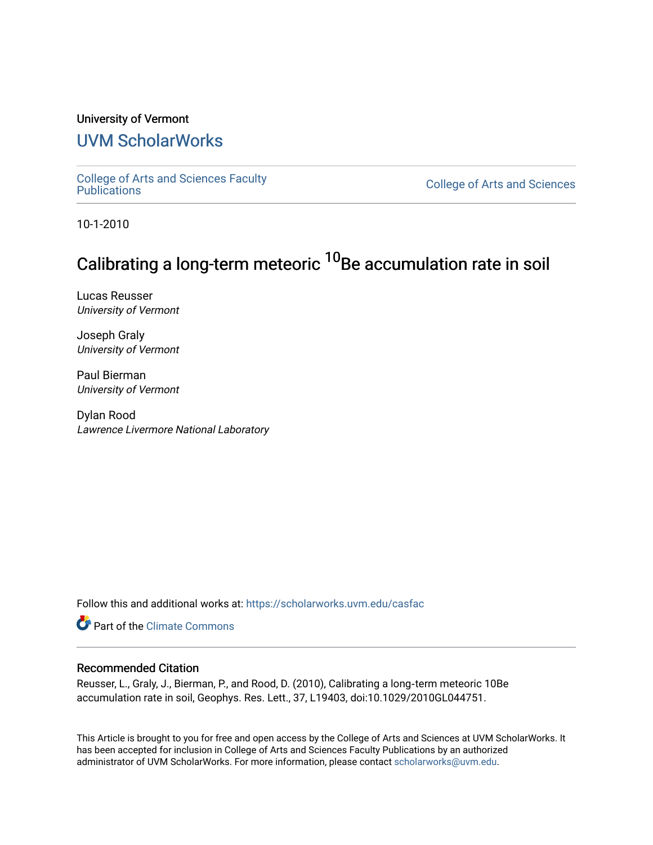# University of Vermont

# [UVM ScholarWorks](https://scholarworks.uvm.edu/)

[College of Arts and Sciences Faculty](https://scholarworks.uvm.edu/casfac)

**College of Arts and Sciences** 

10-1-2010

# Calibrating a long-term meteoric <sup>10</sup>Be accumulation rate in soil

Lucas Reusser University of Vermont

Joseph Graly University of Vermont

Paul Bierman University of Vermont

Dylan Rood Lawrence Livermore National Laboratory

Follow this and additional works at: [https://scholarworks.uvm.edu/casfac](https://scholarworks.uvm.edu/casfac?utm_source=scholarworks.uvm.edu%2Fcasfac%2F21&utm_medium=PDF&utm_campaign=PDFCoverPages) 

**C** Part of the Climate Commons

## Recommended Citation

Reusser, L., Graly, J., Bierman, P., and Rood, D. (2010), Calibrating a long‐term meteoric 10Be accumulation rate in soil, Geophys. Res. Lett., 37, L19403, doi:10.1029/2010GL044751.

This Article is brought to you for free and open access by the College of Arts and Sciences at UVM ScholarWorks. It has been accepted for inclusion in College of Arts and Sciences Faculty Publications by an authorized administrator of UVM ScholarWorks. For more information, please contact [scholarworks@uvm.edu](mailto:scholarworks@uvm.edu).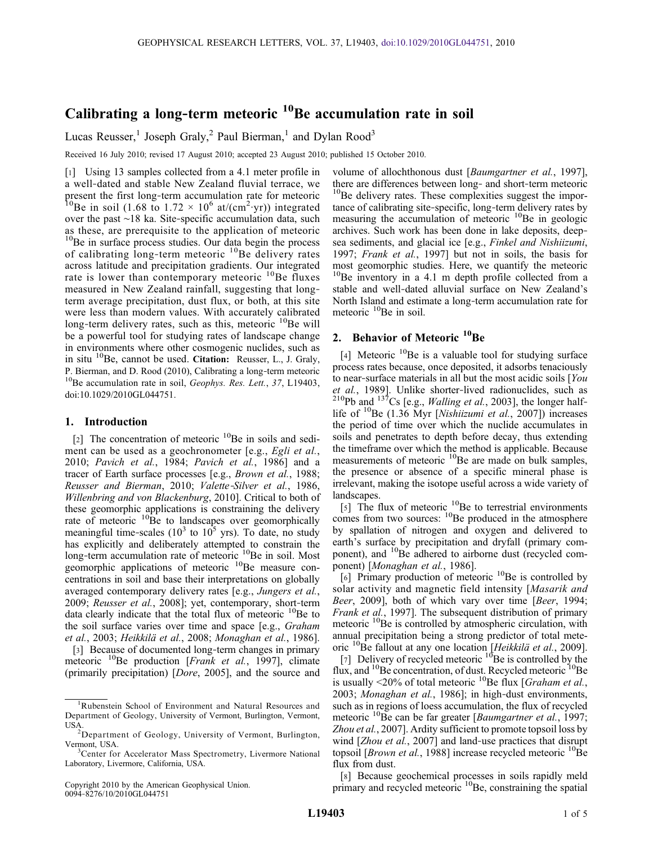# Calibrating a long-term meteoric  $10B$ Be accumulation rate in soil

Lucas Reusser,<sup>1</sup> Joseph Graly,<sup>2</sup> Paul Bierman,<sup>1</sup> and Dylan Rood<sup>3</sup>

Received 16 July 2010; revised 17 August 2010; accepted 23 August 2010; published 15 October 2010.

[1] Using 13 samples collected from a 4.1 meter profile in a well‐dated and stable New Zealand fluvial terrace, we present the first long‐term accumulation rate for meteoric <sup>10</sup>Be in soil (1.68 to 1.72  $\times$  10<sup>6</sup> at/(cm<sup>2</sup>·yr)) integrated over the past ∼18 ka. Site‐specific accumulation data, such as these, are prerequisite to the application of meteoric <sup>10</sup>Be in surface process studies. Our data begin the process of calibrating long-term meteoric <sup>10</sup>Be delivery rates across latitude and precipitation gradients. Our integrated rate is lower than contemporary meteoric  ${}^{10}$ Be fluxes measured in New Zealand rainfall, suggesting that long‐ term average precipitation, dust flux, or both, at this site were less than modern values. With accurately calibrated long-term delivery rates, such as this, meteoric  $^{10}$ Be will be a powerful tool for studying rates of landscape change in environments where other cosmogenic nuclides, such as in situ  $^{10}$ Be, cannot be used. Citation: Reusser, L., J. Graly, P. Bierman, and D. Rood (2010), Calibrating a long-term meteoric <sup>10</sup>Be accumulation rate in soil, *Geophys. Res. Lett.*, 37, L19403, doi:10.1029/2010GL044751.

#### 1. Introduction

[2] The concentration of meteoric  $^{10}$ Be in soils and sediment can be used as a geochronometer [e.g., *Egli et al.*, 2010; Pavich et al., 1984; Pavich et al., 1986] and a tracer of Earth surface processes [e.g., Brown et al., 1988; Reusser and Bierman, 2010; Valette‐Silver et al., 1986, Willenbring and von Blackenburg, 2010]. Critical to both of these geomorphic applications is constraining the delivery rate of meteoric  ${}^{10}$ Be to landscapes over geomorphically meaningful time-scales  $(10^3 \text{ to } 10^5 \text{ yrs})$ . To date, no study has explicitly and deliberately attempted to constrain the long-term accumulation rate of meteoric <sup>10</sup>Be in soil. Most geomorphic applications of meteoric <sup>10</sup>Be measure concentrations in soil and base their interpretations on globally averaged contemporary delivery rates [e.g., Jungers et al., 2009; Reusser et al., 2008]; yet, contemporary, short-term data clearly indicate that the total flux of meteoric <sup>10</sup>Be to the soil surface varies over time and space [e.g., Graham et al., 2003; Heikkilä et al., 2008; Monaghan et al., 1986].

[3] Because of documented long-term changes in primary meteoric <sup>10</sup>Be production [*Frank et al.*, 1997], climate (primarily precipitation) [Dore, 2005], and the source and

volume of allochthonous dust [Baumgartner et al., 1997], there are differences between long‐ and short‐term meteoric  $10B$ e delivery rates. These complexities suggest the importance of calibrating site-specific, long-term delivery rates by measuring the accumulation of meteoric  $^{10}$ Be in geologic archives. Such work has been done in lake deposits, deep‐ sea sediments, and glacial ice [e.g., Finkel and Nishiizumi, 1997; Frank et al., 1997] but not in soils, the basis for most geomorphic studies. Here, we quantify the meteoric  $10$ Be inventory in a 4.1 m depth profile collected from a stable and well‐dated alluvial surface on New Zealand's North Island and estimate a long‐term accumulation rate for meteoric <sup>10</sup>Be in soil.

## 2. Behavior of Meteoric  $^{10}$ Be

[4] Meteoric  $^{10}$ Be is a valuable tool for studying surface process rates because, once deposited, it adsorbs tenaciously to near-surface materials in all but the most acidic soils [You et al., 1989]. Unlike shorter-lived radionuclides, such as <sup>210</sup>Pb and <sup>137</sup>Cs [e.g., *Walling et al.*, 2003], the longer halflife of  $^{10}$ Be (1.36 Myr [Nishiizumi et al., 2007]) increases the period of time over which the nuclide accumulates in soils and penetrates to depth before decay, thus extending the timeframe over which the method is applicable. Because measurements of meteoric <sup>10</sup>Be are made on bulk samples, the presence or absence of a specific mineral phase is irrelevant, making the isotope useful across a wide variety of landscapes.

[5] The flux of meteoric  $^{10}$ Be to terrestrial environments comes from two sources: <sup>10</sup>Be produced in the atmosphere by spallation of nitrogen and oxygen and delivered to earth's surface by precipitation and dryfall (primary component), and 10Be adhered to airborne dust (recycled component) [Monaghan et al., 1986].

[6] Primary production of meteoric <sup>10</sup>Be is controlled by solar activity and magnetic field intensity [Masarik and Beer, 2009], both of which vary over time [Beer, 1994; Frank et al., 1997]. The subsequent distribution of primary meteoric <sup>10</sup>Be is controlled by atmospheric circulation, with annual precipitation being a strong predictor of total meteoric <sup>10</sup>Be fallout at any one location [Heikkilä et al., 2009].

[7] Delivery of recycled meteoric  $10^{6}$ Be is controlled by the flux, and <sup>10</sup>Be concentration, of dust. Recycled meteoric <sup>10</sup>Be is usually <20% of total meteoric  $^{10}$ Be flux [*Graham et al.*, 2003; Monaghan et al., 1986]; in high-dust environments, such as in regions of loess accumulation, the flux of recycled meteoric  $^{10}$ Be can be far greater [*Baumgartner et al.*, 1997; Zhou et al., 2007]. Ardity sufficient to promote topsoil loss by wind [Zhou et al., 2007] and land-use practices that disrupt topsoil [*Brown et al.*, 1988] increase recycled meteoric  $^{10}$ Be flux from dust.

[8] Because geochemical processes in soils rapidly meld primary and recycled meteoric <sup>10</sup>Be, constraining the spatial

<sup>&</sup>lt;sup>1</sup>Rubenstein School of Environment and Natural Resources and Department of Geology, University of Vermont, Burlington, Vermont, USA.

Department of Geology, University of Vermont, Burlington, Vermont, USA.

<sup>&</sup>lt;sup>3</sup>Center for Accelerator Mass Spectrometry, Livermore National Laboratory, Livermore, California, USA.

Copyright 2010 by the American Geophysical Union. 0094‐8276/10/2010GL044751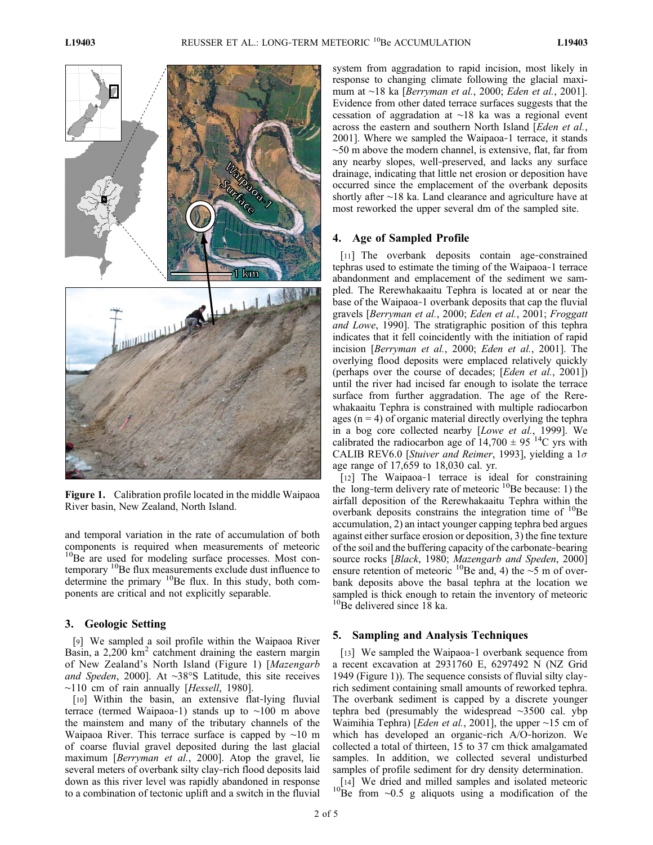

Figure 1. Calibration profile located in the middle Waipaoa River basin, New Zealand, North Island.

and temporal variation in the rate of accumulation of both components is required when measurements of meteoric <sup>10</sup>Be are used for modeling surface processes. Most contemporary <sup>10</sup>Be flux measurements exclude dust influence to determine the primary  $^{10}$ Be flux. In this study, both components are critical and not explicitly separable.

#### 3. Geologic Setting

[9] We sampled a soil profile within the Waipaoa River Basin, a  $2,200 \text{ km}^2$  catchment draining the eastern margin of New Zealand's North Island (Figure 1) [Mazengarb and Speden, 2000]. At ∼38°S Latitude, this site receives ∼110 cm of rain annually [Hessell, 1980].

[10] Within the basin, an extensive flat-lying fluvial terrace (termed Waipaoa‐1) stands up to ∼100 m above the mainstem and many of the tributary channels of the Waipaoa River. This terrace surface is capped by ∼10 m of coarse fluvial gravel deposited during the last glacial maximum [*Berryman et al.*, 2000]. Atop the gravel, lie several meters of overbank silty clay‐rich flood deposits laid down as this river level was rapidly abandoned in response to a combination of tectonic uplift and a switch in the fluvial

system from aggradation to rapid incision, most likely in response to changing climate following the glacial maximum at ∼18 ka [*Berryman et al.*, 2000; *Eden et al.*, 2001]. Evidence from other dated terrace surfaces suggests that the cessation of aggradation at ∼18 ka was a regional event across the eastern and southern North Island [Eden et al., 2001]. Where we sampled the Waipaoa‐1 terrace, it stands ∼50 m above the modern channel, is extensive, flat, far from any nearby slopes, well‐preserved, and lacks any surface drainage, indicating that little net erosion or deposition have occurred since the emplacement of the overbank deposits shortly after ∼18 ka. Land clearance and agriculture have at most reworked the upper several dm of the sampled site.

#### 4. Age of Sampled Profile

[11] The overbank deposits contain age-constrained tephras used to estimate the timing of the Waipaoa‐1 terrace abandonment and emplacement of the sediment we sampled. The Rerewhakaaitu Tephra is located at or near the base of the Waipaoa‐1 overbank deposits that cap the fluvial gravels [Berryman et al., 2000; Eden et al., 2001; Froggatt and Lowe, 1990]. The stratigraphic position of this tephra indicates that it fell coincidently with the initiation of rapid incision [Berryman et al., 2000; Eden et al., 2001]. The overlying flood deposits were emplaced relatively quickly (perhaps over the course of decades; [Eden et al., 2001]) until the river had incised far enough to isolate the terrace surface from further aggradation. The age of the Rerewhakaaitu Tephra is constrained with multiple radiocarbon ages ( $n = 4$ ) of organic material directly overlying the tephra in a bog core collected nearby [Lowe et al., 1999]. We calibrated the radiocarbon age of  $14,700 \pm 95$  <sup>14</sup>C yrs with CALIB REV6.0 [Stuiver and Reimer, 1993], yielding a  $1\sigma$ age range of 17,659 to 18,030 cal. yr.

[12] The Waipaoa-1 terrace is ideal for constraining the long-term delivery rate of meteoric  $^{10}$ Be because: 1) the airfall deposition of the Rerewhakaaitu Tephra within the overbank deposits constrains the integration time of  $^{10}$ Be accumulation, 2) an intact younger capping tephra bed argues against either surface erosion or deposition, 3) the fine texture of the soil and the buffering capacity of the carbonate‐bearing source rocks [Black, 1980; Mazengarb and Speden, 2000] ensure retention of meteoric <sup>10</sup>Be and, 4) the ∼5 m of overbank deposits above the basal tephra at the location we sampled is thick enough to retain the inventory of meteoric <sup>10</sup>Be delivered since 18 ka.

#### 5. Sampling and Analysis Techniques

[13] We sampled the Waipaoa-1 overbank sequence from a recent excavation at 2931760 E, 6297492 N (NZ Grid 1949 (Figure 1)). The sequence consists of fluvial silty clay‐ rich sediment containing small amounts of reworked tephra. The overbank sediment is capped by a discrete younger tephra bed (presumably the widespread ∼3500 cal. ybp Waimihia Tephra) [*Eden et al.*, 2001], the upper ∼15 cm of which has developed an organic‐rich A/O‐horizon. We collected a total of thirteen, 15 to 37 cm thick amalgamated samples. In addition, we collected several undisturbed samples of profile sediment for dry density determination.

 $10^{14}$ ] We dried and milled samples and isolated meteoric 10Be from ∼0.5 g aliquots using a modification of the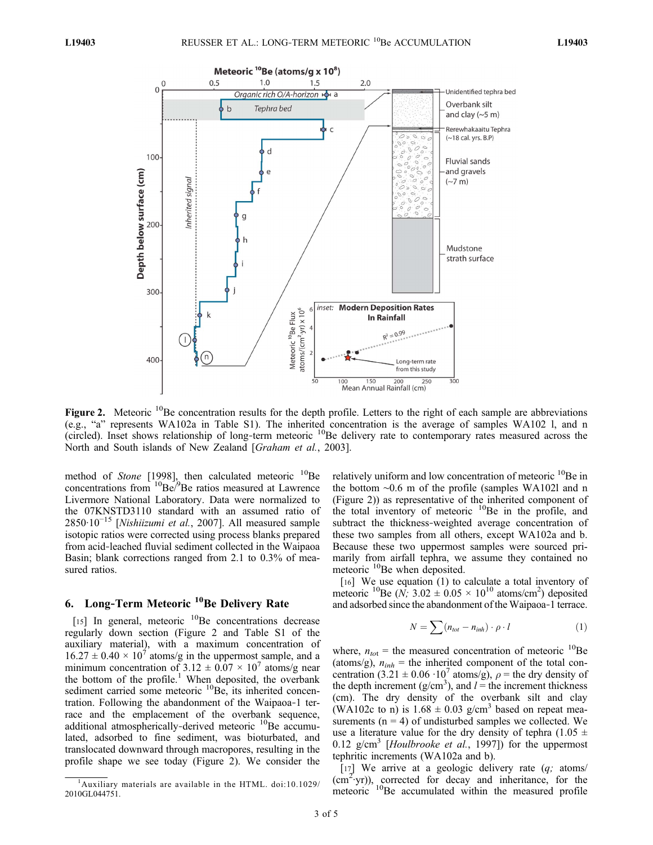

Figure 2. Meteoric  $^{10}$ Be concentration results for the depth profile. Letters to the right of each sample are abbreviations (e.g., "a" represents WA102a in Table S1). The inherited concentration is the average of samples WA102 l, and n (circled). Inset shows relationship of long-term meteoric  $^{10}$ Be delivery rate to contemporary rates measured across the North and South islands of New Zealand [Graham et al., 2003].

method of Stone [1998], then calculated meteoric  $^{10}$ Be concentrations from  ${}^{10}$ Be/ ${}^{9}$ Be ratios measured at Lawrence Livermore National Laboratory. Data were normalized to the 07KNSTD3110 standard with an assumed ratio of 2850·10<sup>-15</sup> [Nishiizumi et al., 2007]. All measured sample isotopic ratios were corrected using process blanks prepared from acid‐leached fluvial sediment collected in the Waipaoa Basin; blank corrections ranged from 2.1 to 0.3% of measured ratios.

## 6. Long-Term Meteoric <sup>10</sup>Be Delivery Rate

[15] In general, meteoric  $^{10}$ Be concentrations decrease regularly down section (Figure 2 and Table S1 of the auxiliary material), with a maximum concentration of  $16.27 \pm 0.40 \times 10^7$  atoms/g in the uppermost sample, and a minimum concentration of  $3.12 \pm 0.07 \times 10^7$  atoms/g near the bottom of the profile.<sup>1</sup> When deposited, the overbank sediment carried some meteoric  ${}^{10}$ Be, its inherited concentration. Following the abandonment of the Waipaoa‐1 terrace and the emplacement of the overbank sequence, additional atmospherically-derived meteoric <sup>10</sup>Be accumulated, adsorbed to fine sediment, was bioturbated, and translocated downward through macropores, resulting in the profile shape we see today (Figure 2). We consider the

relatively uniform and low concentration of meteoric <sup>10</sup>Be in the bottom ∼0.6 m of the profile (samples WA102l and n (Figure 2)) as representative of the inherited component of the total inventory of meteoric  $^{10}$ Be in the profile, and subtract the thickness‐weighted average concentration of these two samples from all others, except WA102a and b. Because these two uppermost samples were sourced primarily from airfall tephra, we assume they contained no many nom antan tepma, we<br>meteoric <sup>10</sup>Be when deposited.

[16] We use equation (1) to calculate a total inventory of meteoric <sup>10</sup>Be (N; 3.02  $\pm$  0.05  $\times$  10<sup>10</sup> atoms/cm<sup>2</sup>) deposited and adsorbed since the abandonment of the Waipaoa‐1 terrace.

$$
N = \sum (n_{tot} - n_{inh}) \cdot \rho \cdot l \tag{1}
$$

where,  $n_{tot}$  = the measured concentration of meteoric <sup>10</sup>Be (atoms/g),  $n_{inh}$  = the inherited component of the total concentration (3.21  $\pm$  0.06 ·10<sup>7</sup> atoms/g),  $\rho$  = the dry density of the depth increment ( $g/cm<sup>3</sup>$ ), and  $l =$  the increment thickness (cm). The dry density of the overbank silt and clay (WA102c to n) is  $1.68 \pm 0.03$  g/cm<sup>3</sup> based on repeat measurements  $(n = 4)$  of undisturbed samples we collected. We use a literature value for the dry density of tephra (1.05  $\pm$ 0.12 g/cm<sup>3</sup> [Houlbrooke et al., 1997]) for the uppermost tephritic increments (WA102a and b).

[17] We arrive at a geologic delivery rate  $(q;$  atoms/  $(cm^2$ ·yr)), corrected for decay and inheritance, for the meteoric <sup>10</sup>Be accumulated within the measured profile

<sup>&</sup>lt;sup>1</sup>Auxiliary materials are available in the HTML. doi:10.1029/ 2010GL044751.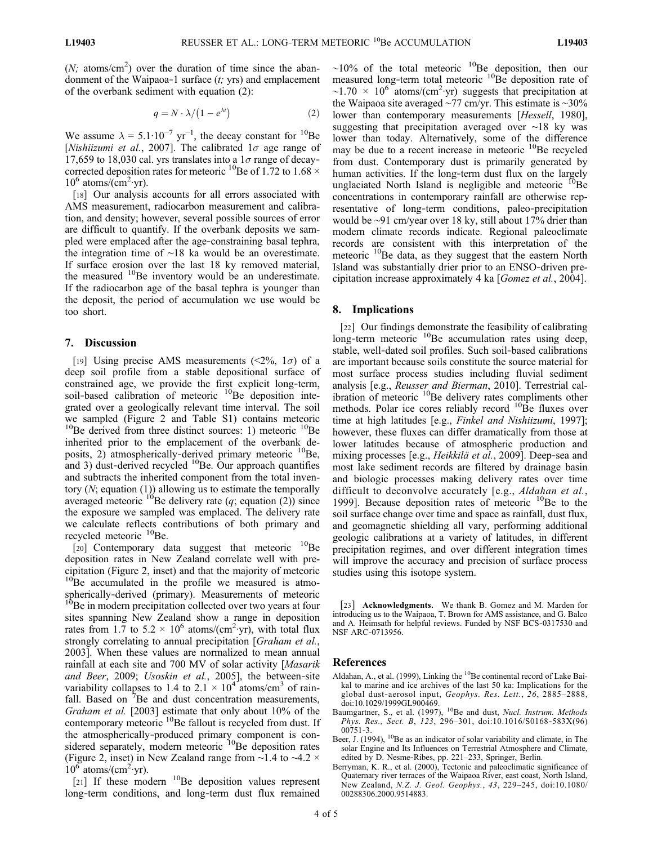$(N; \text{ atoms/cm}^2)$  over the duration of time since the abandonment of the Waipaoa-1 surface  $(t; yrs)$  and emplacement of the overbank sediment with equation (2):

$$
q = N \cdot \lambda / (1 - e^{\lambda t}) \tag{2}
$$

We assume  $\lambda = 5.1 \cdot 10^{-7}$  yr<sup>-1</sup>, the decay constant for <sup>10</sup>Be [Nishiizumi et al., 2007]. The calibrated  $1\sigma$  age range of 17,659 to 18,030 cal. yrs translates into a  $1\sigma$  range of decaycorrected deposition rates for meteoric <sup>10</sup>Be of 1.72 to 1.68  $\times$  $10^6$  atoms/ $\overline{(cm^2 \cdot yr)}$ .

[18] Our analysis accounts for all errors associated with AMS measurement, radiocarbon measurement and calibration, and density; however, several possible sources of error are difficult to quantify. If the overbank deposits we sampled were emplaced after the age‐constraining basal tephra, the integration time of ∼18 ka would be an overestimate. If surface erosion over the last 18 ky removed material, the measured <sup>10</sup>Be inventory would be an underestimate. If the radiocarbon age of the basal tephra is younger than the deposit, the period of accumulation we use would be too short.

#### 7. Discussion

[19] Using precise AMS measurements  $(\leq 2\%, 1\sigma)$  of a deep soil profile from a stable depositional surface of constrained age, we provide the first explicit long‐term, soil-based calibration of meteoric <sup>10</sup>Be deposition integrated over a geologically relevant time interval. The soil we sampled (Figure 2 and Table S1) contains meteoric  $10B$ Be derived from three distinct sources: 1) meteoric  $10B$ Be inherited prior to the emplacement of the overbank deposits, 2) atmospherically-derived primary meteoric  $^{10}$ Be, and 3) dust-derived recycled  $^{10}$ Be. Our approach quantifies and subtracts the inherited component from the total inventory (N; equation (1)) allowing us to estimate the temporally averaged meteoric  $^{10}$ Be delivery rate (q; equation (2)) since the exposure we sampled was emplaced. The delivery rate we calculate reflects contributions of both primary and recycled meteoric <sup>10</sup>Be.

[20] Contemporary data suggest that meteoric  $^{10}$ Be deposition rates in New Zealand correlate well with precipitation (Figure 2, inset) and that the majority of meteoric  $10^{10}$ Be accumulated in the profile we measured is atmospherically-derived (primary). Measurements of meteoric <sup>10</sup>Be in modern precipitation collected over two years at four sites spanning New Zealand show a range in deposition rates from 1.7 to  $5.2 \times 10^6$  atoms/(cm<sup>2</sup>·yr), with total flux strongly correlating to annual precipitation [Graham et al., 2003]. When these values are normalized to mean annual rainfall at each site and 700 MV of solar activity [Masarik and Beer, 2009; Usoskin et al., 2005], the between-site variability collapses to 1.4 to 2.1  $\times$  10<sup>4</sup> atoms/cm<sup>3</sup> of rainfall. Based on  ${}^{7}$ Be and dust concentration measurements, Graham et al. [2003] estimate that only about 10% of the contemporary meteoric <sup>10</sup>Be fallout is recycled from dust. If the atmospherically‐produced primary component is considered separately, modern meteoric <sup>10</sup>Be deposition rates (Figure 2, inset) in New Zealand range from ∼1.4 to ∼4.2 ×  $10^6$  atoms/(cm<sup>2</sup>·yr).

[21] If these modern  $^{10}$ Be deposition values represent long‐term conditions, and long‐term dust flux remained

 $~\sim$ 10% of the total meteoric  $10^9$ Be deposition, then our measured long-term total meteoric <sup>10</sup>Be deposition rate of  $\sim$ 1.70 × 10<sup>6</sup> atoms/(cm<sup>2</sup>·yr) suggests that precipitation at the Waipaoa site averaged ∼77 cm/yr. This estimate is ∼30% lower than contemporary measurements [*Hessell*, 1980], suggesting that precipitation averaged over ∼18 ky was lower than today. Alternatively, some of the difference may be due to a recent increase in meteoric  $^{10}$ Be recycled from dust. Contemporary dust is primarily generated by human activities. If the long-term dust flux on the largely unglaciated North Island is negligible and meteoric <sup>10</sup>Be concentrations in contemporary rainfall are otherwise representative of long-term conditions, paleo-precipitation would be ∼91 cm/year over 18 ky, still about 17% drier than modern climate records indicate. Regional paleoclimate records are consistent with this interpretation of the meteoric <sup>10</sup>Be data, as they suggest that the eastern North Island was substantially drier prior to an ENSO‐driven precipitation increase approximately 4 ka [Gomez et al., 2004].

### 8. Implications

[22] Our findings demonstrate the feasibility of calibrating long-term meteoric  $^{10}$ Be accumulation rates using deep, stable, well‐dated soil profiles. Such soil‐based calibrations are important because soils constitute the source material for most surface process studies including fluvial sediment analysis [e.g., Reusser and Bierman, 2010]. Terrestrial calibration of meteoric <sup>10</sup>Be delivery rates compliments other methods. Polar ice cores reliably record  $^{10}$ Be fluxes over time at high latitudes [e.g., Finkel and Nishiizumi, 1997]; however, these fluxes can differ dramatically from those at lower latitudes because of atmospheric production and mixing processes [e.g., *Heikkilä et al.*, 2009]. Deep-sea and most lake sediment records are filtered by drainage basin and biologic processes making delivery rates over time difficult to deconvolve accurately [e.g., Aldahan et al., 1999]. Because deposition rates of meteoric  $^{10}$ Be to the soil surface change over time and space as rainfall, dust flux, and geomagnetic shielding all vary, performing additional geologic calibrations at a variety of latitudes, in different precipitation regimes, and over different integration times will improve the accuracy and precision of surface process studies using this isotope system.

[23] Acknowledgments. We thank B. Gomez and M. Marden for introducing us to the Waipaoa, T. Brown for AMS assistance, and G. Balco and A. Heimsath for helpful reviews. Funded by NSF BCS‐0317530 and NSF ARC‐0713956.

#### References

- Aldahan, A., et al. (1999), Linking the  $^{10}$ Be continental record of Lake Baikal to marine and ice archives of the last 50 ka: Implications for the global dust-aerosol input, Geophys. Res. Lett., 26, 2885-2888, doi:10.1029/1999GL900469.
- Baumgartner, S., et al.  $(1997)$ , <sup>10</sup>Be and dust, *Nucl. Instrum. Methods* Phys. Res., Sect. B, 123, 296–301, doi:10.1016/S0168-583X(96)  $00751 - 3$ .
- Beer, J. (1994),  $^{10}$ Be as an indicator of solar variability and climate, in The solar Engine and Its Influences on Terrestrial Atmosphere and Climate, edited by D. Nesme-Ribes, pp. 221–233, Springer, Berlin.
- Berryman, K. R., et al. (2000), Tectonic and paleoclimatic significance of Quaternary river terraces of the Waipaoa River, east coast, North Island, New Zealand, N.Z. J. Geol. Geophys., 43, 229–245, doi:10.1080/ 00288306.2000.9514883.